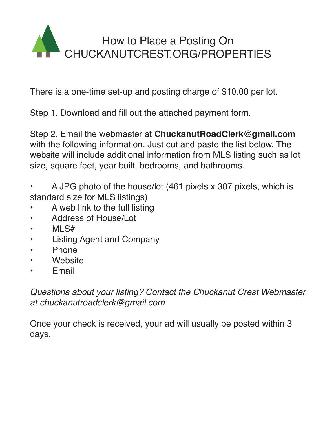

There is a one-time set-up and posting charge of \$10.00 per lot.

Step 1. Download and fill out the attached payment form.

Step 2. Email the webmaster at **ChuckanutRoadClerk@gmail.com** with the following information. Just cut and paste the list below. The website will include additional information from MLS listing such as lot size, square feet, year built, bedrooms, and bathrooms.

- A JPG photo of the house/lot (461 pixels x 307 pixels, which is standard size for MLS listings)
- A web link to the full listing
- Address of House/Lot
- MLS#
- Listing Agent and Company
- **Phone**
- **Website**
- **Email**

*Questions about your listing? Contact the Chuckanut Crest Webmaster at chuckanutroadclerk@gmail.com*

Once your check is received, your ad will usually be posted within 3 days.